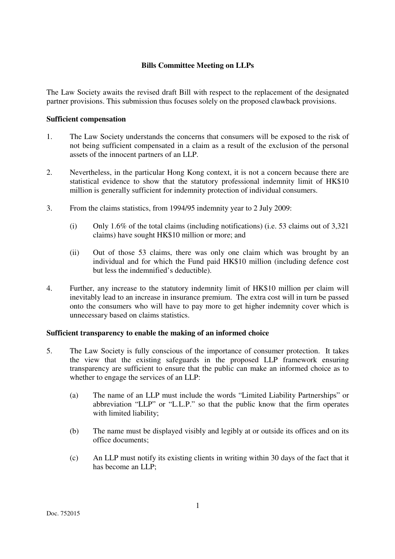# **Bills Committee Meeting on LLPs**

The Law Society awaits the revised draft Bill with respect to the replacement of the designated partner provisions. This submission thus focuses solely on the proposed clawback provisions.

### **Sufficient compensation**

- 1. The Law Society understands the concerns that consumers will be exposed to the risk of not being sufficient compensated in a claim as a result of the exclusion of the personal assets of the innocent partners of an LLP.
- 2. Nevertheless, in the particular Hong Kong context, it is not a concern because there are statistical evidence to show that the statutory professional indemnity limit of HK\$10 million is generally sufficient for indemnity protection of individual consumers.
- 3. From the claims statistics, from 1994/95 indemnity year to 2 July 2009:
	- (i) Only 1.6% of the total claims (including notifications) (i.e. 53 claims out of 3,321 claims) have sought HK\$10 million or more; and
	- (ii) Out of those 53 claims, there was only one claim which was brought by an individual and for which the Fund paid HK\$10 million (including defence cost but less the indemnified's deductible).
- 4. Further, any increase to the statutory indemnity limit of HK\$10 million per claim will inevitably lead to an increase in insurance premium. The extra cost will in turn be passed onto the consumers who will have to pay more to get higher indemnity cover which is unnecessary based on claims statistics.

## **Sufficient transparency to enable the making of an informed choice**

- 5. The Law Society is fully conscious of the importance of consumer protection. It takes the view that the existing safeguards in the proposed LLP framework ensuring transparency are sufficient to ensure that the public can make an informed choice as to whether to engage the services of an LLP:
	- (a) The name of an LLP must include the words "Limited Liability Partnerships" or abbreviation "LLP" or "L.L.P." so that the public know that the firm operates with limited liability;
	- (b) The name must be displayed visibly and legibly at or outside its offices and on its office documents;
	- (c) An LLP must notify its existing clients in writing within 30 days of the fact that it has become an LLP;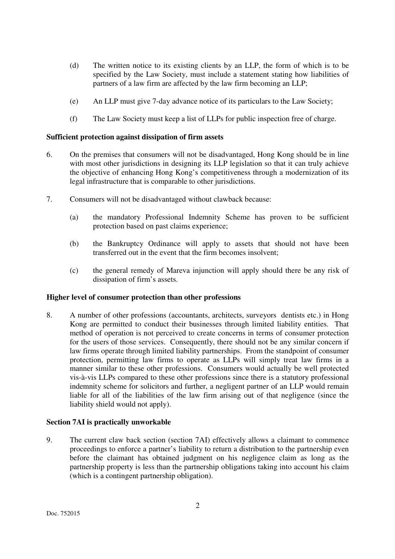- (d) The written notice to its existing clients by an LLP, the form of which is to be specified by the Law Society, must include a statement stating how liabilities of partners of a law firm are affected by the law firm becoming an LLP;
- (e) An LLP must give 7-day advance notice of its particulars to the Law Society;
- (f) The Law Society must keep a list of LLPs for public inspection free of charge.

### **Sufficient protection against dissipation of firm assets**

- 6. On the premises that consumers will not be disadvantaged, Hong Kong should be in line with most other jurisdictions in designing its LLP legislation so that it can truly achieve the objective of enhancing Hong Kong's competitiveness through a modernization of its legal infrastructure that is comparable to other jurisdictions.
- 7. Consumers will not be disadvantaged without clawback because:
	- (a) the mandatory Professional Indemnity Scheme has proven to be sufficient protection based on past claims experience;
	- (b) the Bankruptcy Ordinance will apply to assets that should not have been transferred out in the event that the firm becomes insolvent;
	- (c) the general remedy of Mareva injunction will apply should there be any risk of dissipation of firm's assets.

#### **Higher level of consumer protection than other professions**

8. A number of other professions (accountants, architects, surveyors dentists etc.) in Hong Kong are permitted to conduct their businesses through limited liability entities. That method of operation is not perceived to create concerns in terms of consumer protection for the users of those services. Consequently, there should not be any similar concern if law firms operate through limited liability partnerships. From the standpoint of consumer protection, permitting law firms to operate as LLPs will simply treat law firms in a manner similar to these other professions. Consumers would actually be well protected vis-à-vis LLPs compared to these other professions since there is a statutory professional indemnity scheme for solicitors and further, a negligent partner of an LLP would remain liable for all of the liabilities of the law firm arising out of that negligence (since the liability shield would not apply).

#### **Section 7AI is practically unworkable**

9. The current claw back section (section 7AI) effectively allows a claimant to commence proceedings to enforce a partner's liability to return a distribution to the partnership even before the claimant has obtained judgment on his negligence claim as long as the partnership property is less than the partnership obligations taking into account his claim (which is a contingent partnership obligation).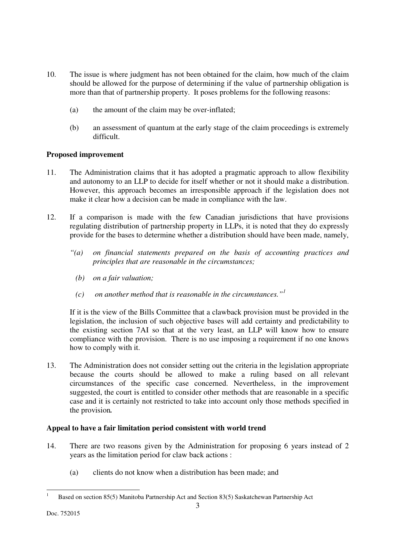- 10. The issue is where judgment has not been obtained for the claim, how much of the claim should be allowed for the purpose of determining if the value of partnership obligation is more than that of partnership property. It poses problems for the following reasons:
	- (a) the amount of the claim may be over-inflated;
	- (b) an assessment of quantum at the early stage of the claim proceedings is extremely difficult.

# **Proposed improvement**

- 11. The Administration claims that it has adopted a pragmatic approach to allow flexibility and autonomy to an LLP to decide for itself whether or not it should make a distribution. However, this approach becomes an irresponsible approach if the legislation does not make it clear how a decision can be made in compliance with the law.
- 12. If a comparison is made with the few Canadian jurisdictions that have provisions regulating distribution of partnership property in LLPs, it is noted that they do expressly provide for the bases to determine whether a distribution should have been made, namely,
	- *"(a) on financial statements prepared on the basis of accounting practices and principles that are reasonable in the circumstances;* 
		- *(b) on a fair valuation;*
		- *(c) on another method that is reasonable in the circumstances."<sup>1</sup>*

If it is the view of the Bills Committee that a clawback provision must be provided in the legislation, the inclusion of such objective bases will add certainty and predictability to the existing section 7AI so that at the very least, an LLP will know how to ensure compliance with the provision. There is no use imposing a requirement if no one knows how to comply with it.

13. The Administration does not consider setting out the criteria in the legislation appropriate because the courts should be allowed to make a ruling based on all relevant circumstances of the specific case concerned. Nevertheless, in the improvement suggested, the court is entitled to consider other methods that are reasonable in a specific case and it is certainly not restricted to take into account only those methods specified in the provision*.*

## **Appeal to have a fair limitation period consistent with world trend**

- 14. There are two reasons given by the Administration for proposing 6 years instead of 2 years as the limitation period for claw back actions :
	- (a) clients do not know when a distribution has been made; and

<sup>-</sup>1 Based on section 85(5) Manitoba Partnership Act and Section 83(5) Saskatchewan Partnership Act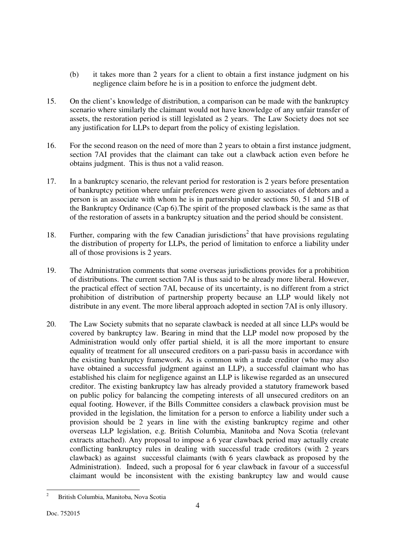- (b) it takes more than 2 years for a client to obtain a first instance judgment on his negligence claim before he is in a position to enforce the judgment debt.
- 15. On the client's knowledge of distribution, a comparison can be made with the bankruptcy scenario where similarly the claimant would not have knowledge of any unfair transfer of assets, the restoration period is still legislated as 2 years. The Law Society does not see any justification for LLPs to depart from the policy of existing legislation.
- 16. For the second reason on the need of more than 2 years to obtain a first instance judgment, section 7AI provides that the claimant can take out a clawback action even before he obtains judgment. This is thus not a valid reason.
- 17. In a bankruptcy scenario, the relevant period for restoration is 2 years before presentation of bankruptcy petition where unfair preferences were given to associates of debtors and a person is an associate with whom he is in partnership under sections 50, 51 and 51B of the Bankruptcy Ordinance (Cap 6).The spirit of the proposed clawback is the same as that of the restoration of assets in a bankruptcy situation and the period should be consistent.
- 18. Further, comparing with the few Canadian jurisdictions<sup>2</sup> that have provisions regulating the distribution of property for LLPs, the period of limitation to enforce a liability under all of those provisions is 2 years.
- 19. The Administration comments that some overseas jurisdictions provides for a prohibition of distributions. The current section 7AI is thus said to be already more liberal. However, the practical effect of section 7AI, because of its uncertainty, is no different from a strict prohibition of distribution of partnership property because an LLP would likely not distribute in any event. The more liberal approach adopted in section 7AI is only illusory.
- 20. The Law Society submits that no separate clawback is needed at all since LLPs would be covered by bankruptcy law. Bearing in mind that the LLP model now proposed by the Administration would only offer partial shield, it is all the more important to ensure equality of treatment for all unsecured creditors on a pari-passu basis in accordance with the existing bankruptcy framework. As is common with a trade creditor (who may also have obtained a successful judgment against an LLP), a successful claimant who has established his claim for negligence against an LLP is likewise regarded as an unsecured creditor. The existing bankruptcy law has already provided a statutory framework based on public policy for balancing the competing interests of all unsecured creditors on an equal footing. However, if the Bills Committee considers a clawback provision must be provided in the legislation, the limitation for a person to enforce a liability under such a provision should be 2 years in line with the existing bankruptcy regime and other overseas LLP legislation, e.g. British Columbia, Manitoba and Nova Scotia (relevant extracts attached). Any proposal to impose a 6 year clawback period may actually create conflicting bankruptcy rules in dealing with successful trade creditors (with 2 years clawback) as against successful claimants (with 6 years clawback as proposed by the Administration). Indeed, such a proposal for 6 year clawback in favour of a successful claimant would be inconsistent with the existing bankruptcy law and would cause

<sup>-</sup>2 British Columbia, Manitoba, Nova Scotia